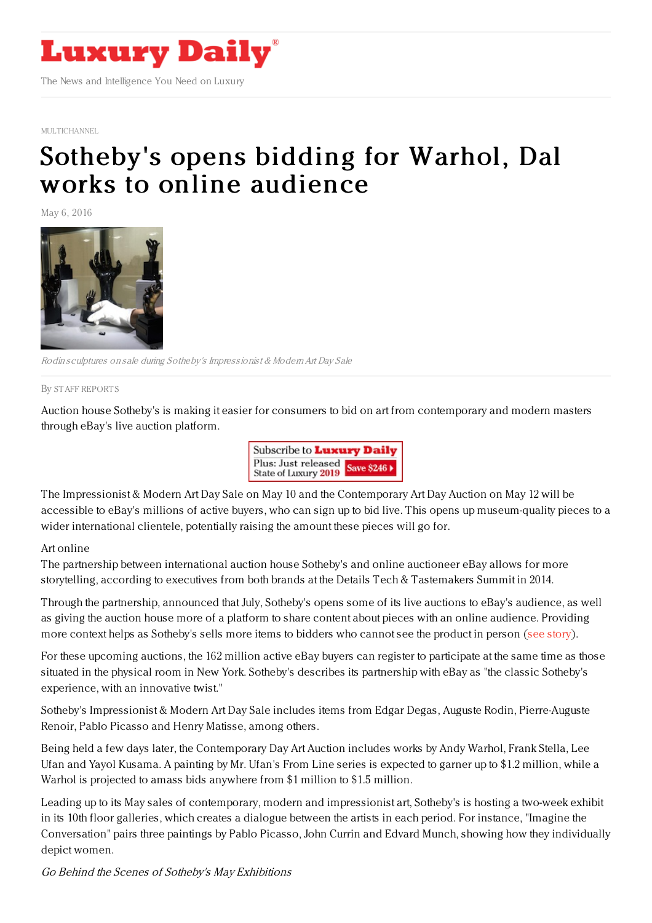

[MULTICHANNEL](https://www.luxurydaily.com/category/news/multichannel/)

## [Sotheby's](https://www.luxurydaily.com/sothebys-opens-bidding-for-warhol-dali-works-to-online-audience/) opens bidding for Warhol, Dal works to online audience

May 6, 2016



Rodin sculptures on sale during Sotheby's Impressionist & ModernArt Day Sale

By STAFF [REPORT](file:///author/staff-reports) S

Auction house Sotheby's is making it easier for consumers to bid on art from contemporary and modern masters through eBay's live auction platform.



The Impressionist & Modern Art Day Sale on May 10 and the Contemporary Art Day Auction on May 12 will be accessible to eBay's millions of active buyers, who can sign up to bid live. This opens up museum-quality pieces to a wider international clientele, potentially raising the amount these pieces will go for.

## Art online

The partnership between international auction house Sotheby's and online auctioneer eBay allows for more storytelling, according to executives from both brands at the Details Tech & Tastemakers Summit in 2014.

Through the partnership, announced that July, Sotheby's opens some of its live auctions to eBay's audience, as well as giving the auction house more of a platform to share content about pieces with an online audience. Providing more context helps as Sotheby's sells more items to bidders who cannot see the product in person (see [story](https://www.luxurydaily.com/ebay-partnership-furthers-sothebys-expansion-heritage/)).

For these upcoming auctions, the 162 million active eBay buyers can register to participate at the same time as those situated in the physical room in New York. Sotheby's describes its partnership with eBay as "the classic Sotheby's experience, with an innovative twist."

Sotheby's Impressionist & Modern Art Day Sale includes items from Edgar Degas, Auguste Rodin, Pierre-Auguste Renoir, Pablo Picasso and Henry Matisse, among others.

Being held a few days later, the Contemporary Day Art Auction includes works by Andy Warhol, Frank Stella, Lee Ufan and Yayol Kusama. A painting by Mr. Ufan's From Line series is expected to garner up to \$1.2 million, while a Warhol is projected to amass bids anywhere from \$1 million to \$1.5 million.

Leading up to its May sales of contemporary, modern and impressionist art, Sotheby's is hosting a two-week exhibit in its 10th floor galleries, which creates a dialogue between the artists in each period. For instance, "Imagine the Conversation" pairs three paintings by Pablo Picasso, John Currin and Edvard Munch, showing how they individually depict women.

Go Behind the Scenes of Sotheby's May Exhibitions